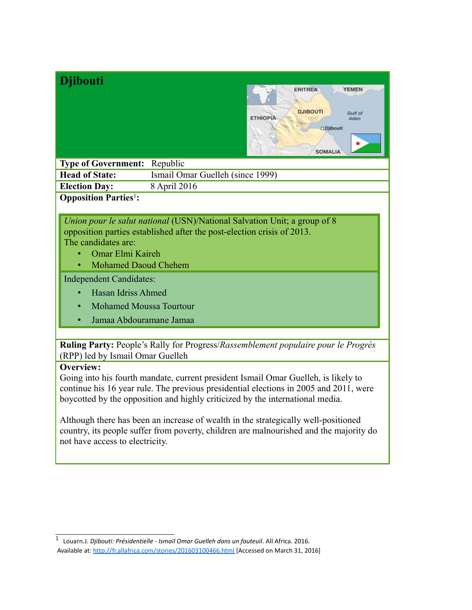| Djibouti                                                                                               | <b>ERITREA</b><br><b>YEMEN</b><br><b>DJIBOUTI</b><br>Gulf of<br><b>ETHIOPIA</b><br>Aden<br><b>ODilbouti</b><br><b>SOMALIA</b>                                                                                                                                                                                                                                                                                                                |
|--------------------------------------------------------------------------------------------------------|----------------------------------------------------------------------------------------------------------------------------------------------------------------------------------------------------------------------------------------------------------------------------------------------------------------------------------------------------------------------------------------------------------------------------------------------|
| <b>Type of Government:</b>                                                                             | Republic                                                                                                                                                                                                                                                                                                                                                                                                                                     |
| <b>Head of State:</b>                                                                                  | Ismail Omar Guelleh (since 1999)                                                                                                                                                                                                                                                                                                                                                                                                             |
| <b>Election Day:</b>                                                                                   | 8 April 2016                                                                                                                                                                                                                                                                                                                                                                                                                                 |
| <b>Opposition Parties<sup>1</sup>:</b>                                                                 |                                                                                                                                                                                                                                                                                                                                                                                                                                              |
| The candidates are:<br>Omar Elmi Kaireh<br><b>Independent Candidates:</b><br><b>Hasan Idriss Ahmed</b> | Union pour le salut national (USN)/National Salvation Unit; a group of 8<br>opposition parties established after the post-election crisis of 2013.<br><b>Mohamed Daoud Chehem</b><br><b>Mohamed Moussa Tourtour</b><br>Jamaa Abdouramane Jamaa                                                                                                                                                                                               |
| (RPP) led by Ismail Omar Guelleh                                                                       | Ruling Party: People's Rally for Progress/Rassemblement populaire pour le Progrès                                                                                                                                                                                                                                                                                                                                                            |
| Overview:<br>not have access to electricity.                                                           | Going into his fourth mandate, current president Ismail Omar Guelleh, is likely to<br>continue his 16 year rule. The previous presidential elections in 2005 and 2011, were<br>boycotted by the opposition and highly criticized by the international media.<br>Although there has been an increase of wealth in the strategically well-positioned<br>country, its people suffer from poverty, children are malnourished and the majority do |

<span id="page-0-0"></span><sup>1</sup> Louarn.J. *Djibouti: Présidentielle - Ismaïl Omar Guelleh dans un fauteuil*. All Africa. 2016. Available at:<http://fr.allafrica.com/stories/201603100466.html> [Accessed on March 31, 2016]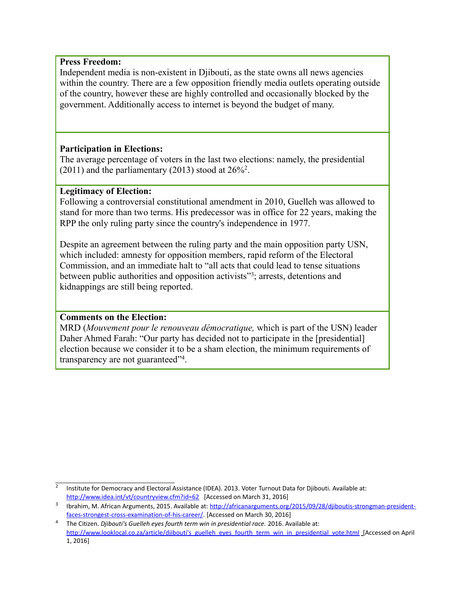### **Press Freedom:**

Independent media is non-existent in Djibouti, as the state owns all news agencies within the country. There are a few opposition friendly media outlets operating outside of the country, however these are highly controlled and occasionally blocked by the government. Additionally access to internet is beyond the budget of many.

### **Participation in Elections:**

The average percentage of voters in the last two elections: namely, the presidential  $(2011)$  and the parliamentary  $(2013)$  stood at  $26\%^2$ .

# **Legitimacy of Election:**

Following a controversial constitutional amendment in 2010, Guelleh was allowed to stand for more than two terms. His predecessor was in office for 22 years, making the RPP the only ruling party since the country's independence in 1977.

Despite an agreement between the ruling party and the main opposition party USN, which included: amnesty for opposition members, rapid reform of the Electoral Commission, and an immediate halt to "all acts that could lead to tense situations between public authorities and opposition activists"<sup>3</sup>; arrests, detentions and kidnappings are still being reported.

# **Comments on the Election:**

MRD (*Mouvement pour le renouveau démocratique,* which is part of the USN) leader Daher Ahmed Farah: "Our party has decided not to participate in the [presidential] election because we consider it to be a sham election, the minimum requirements of transparency are not guaranteed["4](#page-1-2) .

<span id="page-1-0"></span><sup>2</sup> Institute for Democracy and Electoral Assistance (IDEA). 2013. Voter Turnout Data for Djibouti. Available at: <http://www.idea.int/vt/countryview.cfm?id=62>[Accessed on March 31, 2016]

<span id="page-1-1"></span><sup>&</sup>lt;sup>3</sup> Ibrahim, M. African Arguments, 2015. Available at: [http://africanarguments.org/2015/09/28/djiboutis-strongman-president](http://africanarguments.org/2015/09/28/djiboutis-strongman-president-faces-strongest-cross-examination-of-his-career/)[faces-strongest-cross-examination-of-his-career/.](http://africanarguments.org/2015/09/28/djiboutis-strongman-president-faces-strongest-cross-examination-of-his-career/) [Accessed on March 30, 2016]

<span id="page-1-2"></span><sup>4</sup> The Citizen. *Djibouti's Guelleh eyes fourth term win in presidential race.* 2016. Available at: [http://www.looklocal.co.za/article/djibouti's\\_guelleh\\_eyes\\_fourth\\_term\\_win\\_in\\_presidential\\_vote.html](http://www.looklocal.co.za/article/djibouti) [Accessed on April 1, 2016]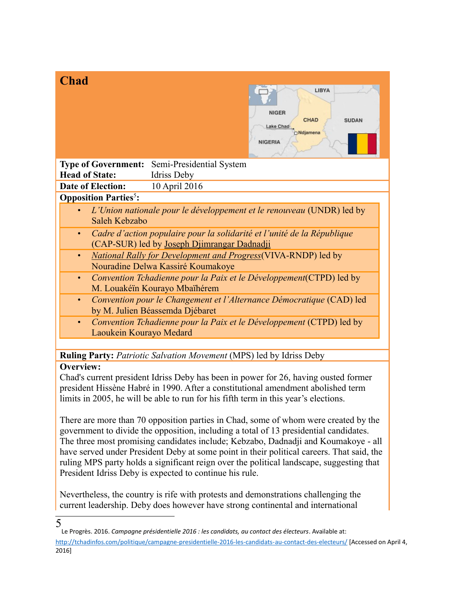| <b>Chad</b>                                                                                                                                                                                                                                                                                                                                                                                                                                                                                                                                                                                                                                                                                                                                                    | LIBYA<br><b>NIGER</b><br><b>CHAD</b><br><b>SUDAN</b><br><b>Lake Chad</b><br>Ndjamena<br><b>NIGERIA</b>                                                                                                                                                                                                                                                                                                                                                                                                                                                                                        |  |
|----------------------------------------------------------------------------------------------------------------------------------------------------------------------------------------------------------------------------------------------------------------------------------------------------------------------------------------------------------------------------------------------------------------------------------------------------------------------------------------------------------------------------------------------------------------------------------------------------------------------------------------------------------------------------------------------------------------------------------------------------------------|-----------------------------------------------------------------------------------------------------------------------------------------------------------------------------------------------------------------------------------------------------------------------------------------------------------------------------------------------------------------------------------------------------------------------------------------------------------------------------------------------------------------------------------------------------------------------------------------------|--|
| <b>Type of Government:</b>                                                                                                                                                                                                                                                                                                                                                                                                                                                                                                                                                                                                                                                                                                                                     | Semi-Presidential System                                                                                                                                                                                                                                                                                                                                                                                                                                                                                                                                                                      |  |
| <b>Head of State:</b><br><b>Date of Election:</b>                                                                                                                                                                                                                                                                                                                                                                                                                                                                                                                                                                                                                                                                                                              | Idriss Deby<br>10 April 2016                                                                                                                                                                                                                                                                                                                                                                                                                                                                                                                                                                  |  |
|                                                                                                                                                                                                                                                                                                                                                                                                                                                                                                                                                                                                                                                                                                                                                                |                                                                                                                                                                                                                                                                                                                                                                                                                                                                                                                                                                                               |  |
| <b>Opposition Parties<sup>5</sup>:</b><br>L'Union nationale pour le développement et le renouveau (UNDR) led by<br>Saleh Kebzabo<br>Cadre d'action populaire pour la solidarité et l'unité de la République<br>$\bullet$<br>(CAP-SUR) led by Joseph Djimrangar Dadnadji<br><b>National Rally for Development and Progress(VIVA-RNDP) led by</b><br>$\bullet$<br>Nouradine Delwa Kassiré Koumakoye<br>Convention Tchadienne pour la Paix et le Développement(CTPD) led by<br>$\bullet$<br>M. Louakéïn Kourayo Mbaïhérem<br>Convention pour le Changement et l'Alternance Démocratique (CAD) led<br>$\bullet$<br>by M. Julien Béassemda Djébaret<br>Convention Tchadienne pour la Paix et le Développement (CTPD) led by<br>$\bullet$<br>Laoukein Kourayo Medard |                                                                                                                                                                                                                                                                                                                                                                                                                                                                                                                                                                                               |  |
| Ruling Party: Patriotic Salvation Movement (MPS) led by Idriss Deby                                                                                                                                                                                                                                                                                                                                                                                                                                                                                                                                                                                                                                                                                            |                                                                                                                                                                                                                                                                                                                                                                                                                                                                                                                                                                                               |  |
| Overview:                                                                                                                                                                                                                                                                                                                                                                                                                                                                                                                                                                                                                                                                                                                                                      | Chad's current president Idriss Deby has been in power for 26, having ousted former<br>president Hissène Habré in 1990. After a constitutional amendment abolished term<br>limits in 2005, he will be able to run for his fifth term in this year's elections.<br>There are more than 70 opposition parties in Chad, some of whom were created by the<br>$\ldots$ and the distribution of the set of the state of $\sim$ 100 $\ldots$ . In the state of the state of the state of the state of the state of the state of the state of the state of the state of the state of the state of the |  |

government to divide the opposition, including a total of 13 presidential candidates. The three most promising candidates include; Kebzabo, Dadnadji and Koumakoye - all have served under President Deby at some point in their political careers. That said, the ruling MPS party holds a significant reign over the political landscape, suggesting that President Idriss Deby is expected to continue his rule.

Nevertheless, the country is rife with protests and demonstrations challenging the current leadership. Deby does however have strong continental and international

Le Progrès. 2016. *Campagne présidentielle 2016 : les candidats, au contact des électeurs*. Available at: <http://tchadinfos.com/politique/campagne-presidentielle-2016-les-candidats-au-contact-des-electeurs/>[Accessed on April 4, 2016]

<span id="page-2-0"></span><sup>5</sup>